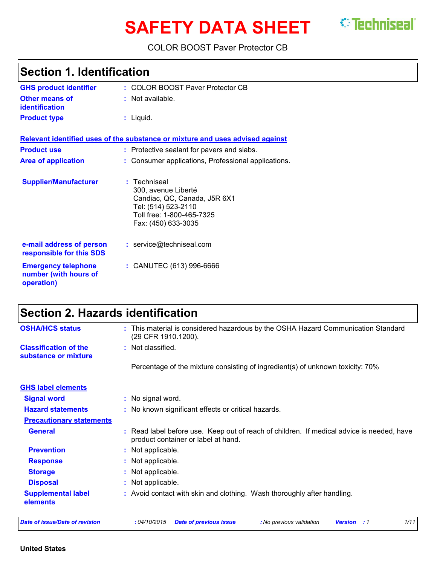# **SAFETY DATA SHEET** *C* Techniseal

COLOR BOOST Paver Protector CB

| <b>Section 1. Identification</b>                                  |                                                                                                                                                |  |
|-------------------------------------------------------------------|------------------------------------------------------------------------------------------------------------------------------------------------|--|
| <b>GHS product identifier</b>                                     | : COLOR BOOST Paver Protector CB                                                                                                               |  |
| <b>Other means of</b><br>identification                           | : Not available.                                                                                                                               |  |
| <b>Product type</b>                                               | $:$ Liquid.                                                                                                                                    |  |
|                                                                   | Relevant identified uses of the substance or mixture and uses advised against                                                                  |  |
| <b>Product use</b>                                                | : Protective sealant for pavers and slabs.                                                                                                     |  |
| <b>Area of application</b>                                        | : Consumer applications, Professional applications.                                                                                            |  |
| <b>Supplier/Manufacturer</b>                                      | : Techniseal<br>300, avenue Liberté<br>Candiac, QC, Canada, J5R 6X1<br>Tel: (514) 523-2110<br>Toll free: 1-800-465-7325<br>Fax: (450) 633-3035 |  |
| e-mail address of person<br>responsible for this SDS              | : service@techniseal.com                                                                                                                       |  |
| <b>Emergency telephone</b><br>number (with hours of<br>operation) | : CANUTEC (613) 996-6666                                                                                                                       |  |

# **Section 2. Hazards identification**

| <b>OSHA/HCS status</b>                               | This material is considered hazardous by the OSHA Hazard Communication Standard                                                  |
|------------------------------------------------------|----------------------------------------------------------------------------------------------------------------------------------|
|                                                      | (29 CFR 1910.1200).                                                                                                              |
| <b>Classification of the</b><br>substance or mixture | : Not classified.                                                                                                                |
|                                                      | Percentage of the mixture consisting of ingredient(s) of unknown toxicity: 70%                                                   |
| <b>GHS label elements</b>                            |                                                                                                                                  |
| <b>Signal word</b>                                   | : No signal word.                                                                                                                |
| <b>Hazard statements</b>                             | : No known significant effects or critical hazards.                                                                              |
| <b>Precautionary statements</b>                      |                                                                                                                                  |
| <b>General</b>                                       | : Read label before use. Keep out of reach of children. If medical advice is needed, have<br>product container or label at hand. |
| <b>Prevention</b>                                    | : Not applicable.                                                                                                                |
| <b>Response</b>                                      | : Not applicable.                                                                                                                |
| <b>Storage</b>                                       | : Not applicable.                                                                                                                |
| <b>Disposal</b>                                      | Not applicable.                                                                                                                  |
| <b>Supplemental label</b><br>elements                | : Avoid contact with skin and clothing. Wash thoroughly after handling.                                                          |
| <b>Date of issue/Date of revision</b>                | : 04/10/2015<br>1/11<br><b>Date of previous issue</b><br>: No previous validation<br><b>Version</b><br>: 1                       |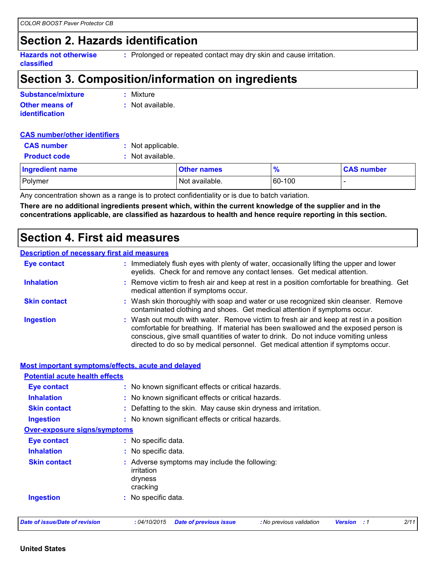# **Section 2. Hazards identification**

**Hazards not otherwise classified :** Prolonged or repeated contact may dry skin and cause irritation.

## **Section 3. Composition/information on ingredients**

| Substance/mixture     | : Mixture        |
|-----------------------|------------------|
| <b>Other means of</b> | : Not available. |
| <b>identification</b> |                  |

#### **CAS number/other identifiers**

| <b>CAS number</b>      | : Not applicable. |                    |               |                   |
|------------------------|-------------------|--------------------|---------------|-------------------|
| <b>Product code</b>    | : Not available.  |                    |               |                   |
| <b>Ingredient name</b> |                   | <b>Other names</b> | $\frac{9}{6}$ | <b>CAS number</b> |
| Polymer                |                   | Not available.     | 60-100        |                   |

Any concentration shown as a range is to protect confidentiality or is due to batch variation.

**There are no additional ingredients present which, within the current knowledge of the supplier and in the concentrations applicable, are classified as hazardous to health and hence require reporting in this section.**

### **Section 4. First aid measures**

#### **Description of necessary first aid measures**

| <b>Eye contact</b>  | : Immediately flush eyes with plenty of water, occasionally lifting the upper and lower<br>eyelids. Check for and remove any contact lenses. Get medical attention.                                                                                                                                                                                    |
|---------------------|--------------------------------------------------------------------------------------------------------------------------------------------------------------------------------------------------------------------------------------------------------------------------------------------------------------------------------------------------------|
| <b>Inhalation</b>   | : Remove victim to fresh air and keep at rest in a position comfortable for breathing. Get<br>medical attention if symptoms occur.                                                                                                                                                                                                                     |
| <b>Skin contact</b> | : Wash skin thoroughly with soap and water or use recognized skin cleanser. Remove<br>contaminated clothing and shoes. Get medical attention if symptoms occur.                                                                                                                                                                                        |
| <b>Ingestion</b>    | : Wash out mouth with water. Remove victim to fresh air and keep at rest in a position<br>comfortable for breathing. If material has been swallowed and the exposed person is<br>conscious, give small quantities of water to drink. Do not induce vomiting unless<br>directed to do so by medical personnel. Get medical attention if symptoms occur. |

| <b>Potential acute health effects</b> | <b>Most important symptoms/effects, acute and delayed</b>                          |
|---------------------------------------|------------------------------------------------------------------------------------|
| <b>Eye contact</b>                    | : No known significant effects or critical hazards.                                |
| <b>Inhalation</b>                     | : No known significant effects or critical hazards.                                |
| <b>Skin contact</b>                   | : Defatting to the skin. May cause skin dryness and irritation.                    |
| <b>Ingestion</b>                      | : No known significant effects or critical hazards.                                |
| <b>Over-exposure signs/symptoms</b>   |                                                                                    |
| <b>Eye contact</b>                    | : No specific data.                                                                |
| <b>Inhalation</b>                     | : No specific data.                                                                |
| <b>Skin contact</b>                   | : Adverse symptoms may include the following:<br>irritation<br>dryness<br>cracking |
| <b>Ingestion</b>                      | : No specific data.                                                                |
|                                       |                                                                                    |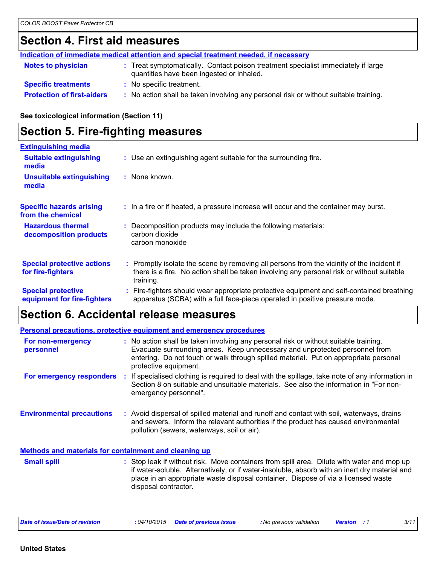# **Section 4. First aid measures**

|                                   | Indication of immediate medical attention and special treatment needed, if necessary                                           |
|-----------------------------------|--------------------------------------------------------------------------------------------------------------------------------|
| <b>Notes to physician</b>         | : Treat symptomatically. Contact poison treatment specialist immediately if large<br>quantities have been ingested or inhaled. |
| <b>Specific treatments</b>        | : No specific treatment.                                                                                                       |
| <b>Protection of first-aiders</b> | : No action shall be taken involving any personal risk or without suitable training.                                           |

#### **See toxicological information (Section 11)**

# **Section 5. Fire-fighting measures**

| <b>Extinguishing media</b>                               |                                                                                                                                                                                                     |
|----------------------------------------------------------|-----------------------------------------------------------------------------------------------------------------------------------------------------------------------------------------------------|
| <b>Suitable extinguishing</b><br>media                   | : Use an extinguishing agent suitable for the surrounding fire.                                                                                                                                     |
| <b>Unsuitable extinguishing</b><br>media                 | : None known.                                                                                                                                                                                       |
| <b>Specific hazards arising</b><br>from the chemical     | : In a fire or if heated, a pressure increase will occur and the container may burst.                                                                                                               |
| <b>Hazardous thermal</b><br>decomposition products       | : Decomposition products may include the following materials:<br>carbon dioxide<br>carbon monoxide                                                                                                  |
| <b>Special protective actions</b><br>for fire-fighters   | : Promptly isolate the scene by removing all persons from the vicinity of the incident if<br>there is a fire. No action shall be taken involving any personal risk or without suitable<br>training. |
| <b>Special protective</b><br>equipment for fire-fighters | : Fire-fighters should wear appropriate protective equipment and self-contained breathing<br>apparatus (SCBA) with a full face-piece operated in positive pressure mode.                            |

# **Section 6. Accidental release measures**

|                                                              | <b>Personal precautions, protective equipment and emergency procedures</b>                                                                                                                                                                                                           |
|--------------------------------------------------------------|--------------------------------------------------------------------------------------------------------------------------------------------------------------------------------------------------------------------------------------------------------------------------------------|
| For non-emergency<br>personnel                               | : No action shall be taken involving any personal risk or without suitable training.<br>Evacuate surrounding areas. Keep unnecessary and unprotected personnel from<br>entering. Do not touch or walk through spilled material. Put on appropriate personal<br>protective equipment. |
| For emergency responders                                     | : If specialised clothing is required to deal with the spillage, take note of any information in<br>Section 8 on suitable and unsuitable materials. See also the information in "For non-<br>emergency personnel".                                                                   |
| <b>Environmental precautions</b>                             | : Avoid dispersal of spilled material and runoff and contact with soil, waterways, drains<br>and sewers. Inform the relevant authorities if the product has caused environmental<br>pollution (sewers, waterways, soil or air).                                                      |
| <b>Methods and materials for containment and cleaning up</b> |                                                                                                                                                                                                                                                                                      |
|                                                              |                                                                                                                                                                                                                                                                                      |

: Stop leak if without risk. Move containers from spill area. Dilute with water and mop up if water-soluble. Alternatively, or if water-insoluble, absorb with an inert dry material and place in an appropriate waste disposal container. Dispose of via a licensed waste disposal contractor. **Small spill :**

| Date of issue/Date of revision | 04/10/2015 | Date of previous issue | : No previous validation | <b>Versior</b> | 3/11<br>- - |
|--------------------------------|------------|------------------------|--------------------------|----------------|-------------|
|                                |            |                        |                          |                |             |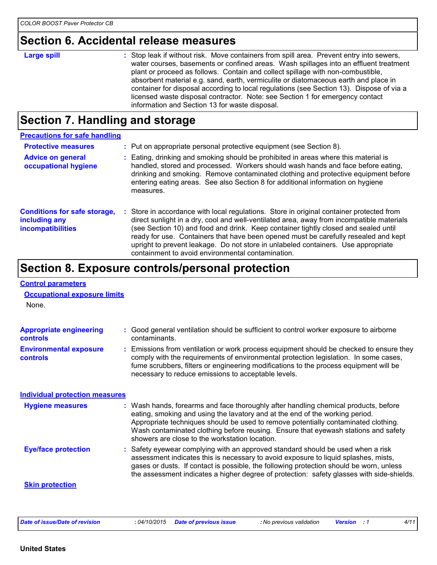# **Section 6. Accidental release measures**

| <b>Large spill</b> | : Stop leak if without risk. Move containers from spill area. Prevent entry into sewers,<br>water courses, basements or confined areas. Wash spillages into an effluent treatment<br>plant or proceed as follows. Contain and collect spillage with non-combustible,<br>absorbent material e.g. sand, earth, vermiculite or diatomaceous earth and place in<br>container for disposal according to local regulations (see Section 13). Dispose of via a<br>licensed waste disposal contractor. Note: see Section 1 for emergency contact<br>information and Section 13 for waste disposal. |
|--------------------|--------------------------------------------------------------------------------------------------------------------------------------------------------------------------------------------------------------------------------------------------------------------------------------------------------------------------------------------------------------------------------------------------------------------------------------------------------------------------------------------------------------------------------------------------------------------------------------------|

# **Section 7. Handling and storage**

| <b>Precautions for safe handling</b>                                      |                                                                                                                                                                                                                                                                                                                                                                                                                                                                                                               |
|---------------------------------------------------------------------------|---------------------------------------------------------------------------------------------------------------------------------------------------------------------------------------------------------------------------------------------------------------------------------------------------------------------------------------------------------------------------------------------------------------------------------------------------------------------------------------------------------------|
| <b>Protective measures</b>                                                | : Put on appropriate personal protective equipment (see Section 8).                                                                                                                                                                                                                                                                                                                                                                                                                                           |
| <b>Advice on general</b><br>occupational hygiene                          | : Eating, drinking and smoking should be prohibited in areas where this material is<br>handled, stored and processed. Workers should wash hands and face before eating,<br>drinking and smoking. Remove contaminated clothing and protective equipment before<br>entering eating areas. See also Section 8 for additional information on hygiene<br>measures.                                                                                                                                                 |
| <b>Conditions for safe storage,</b><br>including any<br>incompatibilities | : Store in accordance with local regulations. Store in original container protected from<br>direct sunlight in a dry, cool and well-ventilated area, away from incompatible materials<br>(see Section 10) and food and drink. Keep container tightly closed and sealed until<br>ready for use. Containers that have been opened must be carefully resealed and kept<br>upright to prevent leakage. Do not store in unlabeled containers. Use appropriate<br>containment to avoid environmental contamination. |

# **Section 8. Exposure controls/personal protection**

| <b>Control parameters</b>                         |                                                                                                                                                                                                                                                                                                                                                                                                   |
|---------------------------------------------------|---------------------------------------------------------------------------------------------------------------------------------------------------------------------------------------------------------------------------------------------------------------------------------------------------------------------------------------------------------------------------------------------------|
| <b>Occupational exposure limits</b>               |                                                                                                                                                                                                                                                                                                                                                                                                   |
| None.                                             |                                                                                                                                                                                                                                                                                                                                                                                                   |
| <b>Appropriate engineering</b><br><b>controls</b> | : Good general ventilation should be sufficient to control worker exposure to airborne<br>contaminants.                                                                                                                                                                                                                                                                                           |
| <b>Environmental exposure</b><br>controls         | : Emissions from ventilation or work process equipment should be checked to ensure they<br>comply with the requirements of environmental protection legislation. In some cases,<br>fume scrubbers, filters or engineering modifications to the process equipment will be<br>necessary to reduce emissions to acceptable levels.                                                                   |
| <b>Individual protection measures</b>             |                                                                                                                                                                                                                                                                                                                                                                                                   |
| <b>Hygiene measures</b>                           | : Wash hands, forearms and face thoroughly after handling chemical products, before<br>eating, smoking and using the lavatory and at the end of the working period.<br>Appropriate techniques should be used to remove potentially contaminated clothing.<br>Wash contaminated clothing before reusing. Ensure that eyewash stations and safety<br>showers are close to the workstation location. |
| <b>Eye/face protection</b>                        | : Safety eyewear complying with an approved standard should be used when a risk<br>assessment indicates this is necessary to avoid exposure to liquid splashes, mists,<br>gases or dusts. If contact is possible, the following protection should be worn, unless<br>the assessment indicates a higher degree of protection: safety glasses with side-shields.                                    |
| <b>Skin protection</b>                            |                                                                                                                                                                                                                                                                                                                                                                                                   |
|                                                   |                                                                                                                                                                                                                                                                                                                                                                                                   |
|                                                   |                                                                                                                                                                                                                                                                                                                                                                                                   |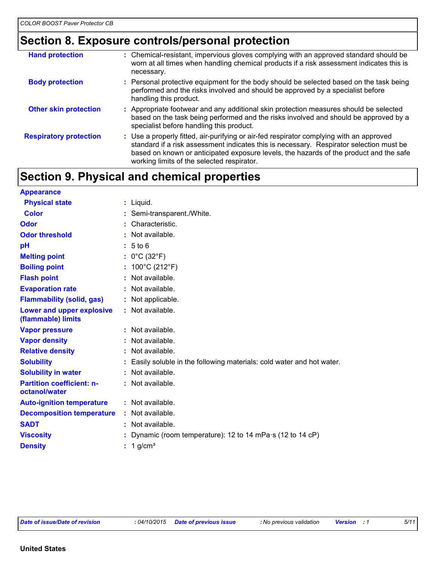# **Section 8. Exposure controls/personal protection**

| <b>Hand protection</b>        | : Chemical-resistant, impervious gloves complying with an approved standard should be<br>worn at all times when handling chemical products if a risk assessment indicates this is<br>necessary.                                                                                                                            |
|-------------------------------|----------------------------------------------------------------------------------------------------------------------------------------------------------------------------------------------------------------------------------------------------------------------------------------------------------------------------|
| <b>Body protection</b>        | : Personal protective equipment for the body should be selected based on the task being<br>performed and the risks involved and should be approved by a specialist before<br>handling this product.                                                                                                                        |
| <b>Other skin protection</b>  | : Appropriate footwear and any additional skin protection measures should be selected<br>based on the task being performed and the risks involved and should be approved by a<br>specialist before handling this product.                                                                                                  |
| <b>Respiratory protection</b> | : Use a properly fitted, air-purifying or air-fed respirator complying with an approved<br>standard if a risk assessment indicates this is necessary. Respirator selection must be<br>based on known or anticipated exposure levels, the hazards of the product and the safe<br>working limits of the selected respirator. |

# **Section 9. Physical and chemical properties**

| <b>Appearance</b>                                 |                                                                      |
|---------------------------------------------------|----------------------------------------------------------------------|
| <b>Physical state</b>                             | $:$ Liquid.                                                          |
| Color                                             | : Semi-transparent./White.                                           |
| Odor                                              | Characteristic.                                                      |
| <b>Odor threshold</b>                             | Not available.                                                       |
| pH                                                | $: 5$ to 6                                                           |
| <b>Melting point</b>                              | : $0^{\circ}$ C (32 $^{\circ}$ F)                                    |
| <b>Boiling point</b>                              | : $100^{\circ}$ C (212 $^{\circ}$ F)                                 |
| <b>Flash point</b>                                | Not available.                                                       |
| <b>Evaporation rate</b>                           | : Not available.                                                     |
| <b>Flammability (solid, gas)</b>                  | : Not applicable.                                                    |
| Lower and upper explosive<br>(flammable) limits   | : Not available.                                                     |
| <b>Vapor pressure</b>                             | : Not available.                                                     |
| <b>Vapor density</b>                              | Not available.                                                       |
| <b>Relative density</b>                           | Not available.                                                       |
| <b>Solubility</b>                                 | Easily soluble in the following materials: cold water and hot water. |
| <b>Solubility in water</b>                        | Not available.                                                       |
| <b>Partition coefficient: n-</b><br>octanol/water | : Not available.                                                     |
| <b>Auto-ignition temperature</b>                  | : Not available.                                                     |
| <b>Decomposition temperature</b>                  | Not available.                                                       |
| <b>SADT</b>                                       | Not available.                                                       |
| <b>Viscosity</b>                                  | Dynamic (room temperature): 12 to 14 mPa s (12 to 14 cP)             |
| <b>Density</b>                                    | 1 g/cm <sup>3</sup>                                                  |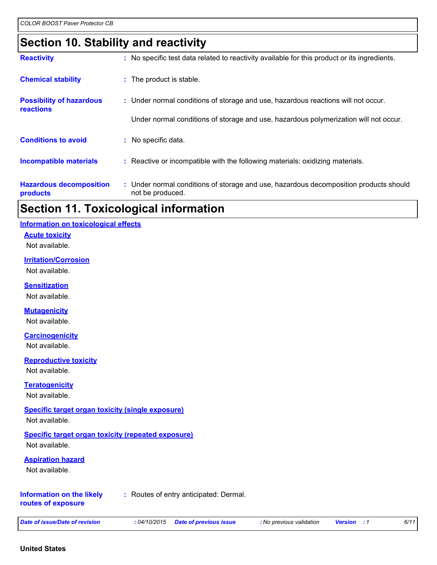### **Section 10. Stability and reactivity**

| : No specific test data related to reactivity available for this product or its ingredients.              |
|-----------------------------------------------------------------------------------------------------------|
| : The product is stable.                                                                                  |
| : Under normal conditions of storage and use, hazardous reactions will not occur.                         |
| Under normal conditions of storage and use, hazardous polymerization will not occur.                      |
| : No specific data.                                                                                       |
| : Reactive or incompatible with the following materials: oxidizing materials.                             |
| : Under normal conditions of storage and use, hazardous decomposition products should<br>not be produced. |
|                                                                                                           |

# **Section 11. Toxicological information**

#### **Information on toxicological effects**

#### **Acute toxicity**

Not available.

#### **Irritation/Corrosion**

Not available.

#### **Sensitization**

Not available.

#### **Mutagenicity**

Not available.

#### **Carcinogenicity**

Not available.

#### **Reproductive toxicity**

Not available.

#### **Teratogenicity**

Not available.

#### **Specific target organ toxicity (single exposure)**

Not available.

#### **Specific target organ toxicity (repeated exposure)**

Not available.

#### **Aspiration hazard**

Not available.

#### **Information on the likely routes of exposure**

**:** Routes of entry anticipated: Dermal.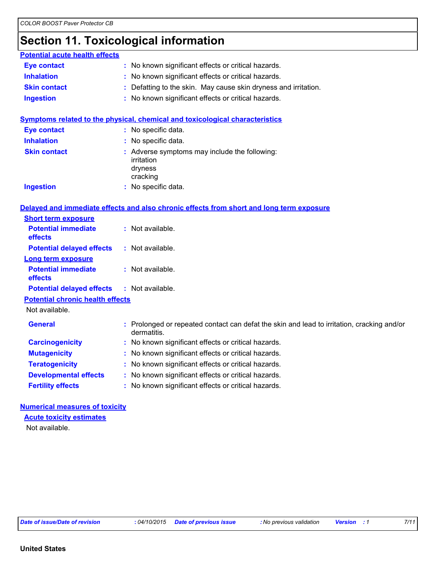# **Section 11. Toxicological information**

| <b>Potential acute health effects</b>        |                                                                                                           |
|----------------------------------------------|-----------------------------------------------------------------------------------------------------------|
| <b>Eye contact</b>                           | : No known significant effects or critical hazards.                                                       |
| <b>Inhalation</b>                            | No known significant effects or critical hazards.                                                         |
| <b>Skin contact</b>                          | Defatting to the skin. May cause skin dryness and irritation.                                             |
| <b>Ingestion</b>                             | : No known significant effects or critical hazards.                                                       |
|                                              | Symptoms related to the physical, chemical and toxicological characteristics                              |
| <b>Eye contact</b>                           | : No specific data.                                                                                       |
| <b>Inhalation</b>                            | No specific data.                                                                                         |
| <b>Skin contact</b>                          | : Adverse symptoms may include the following:                                                             |
|                                              | irritation                                                                                                |
|                                              | dryness                                                                                                   |
|                                              | cracking                                                                                                  |
| <b>Ingestion</b>                             | : No specific data.                                                                                       |
|                                              |                                                                                                           |
|                                              | Delayed and immediate effects and also chronic effects from short and long term exposure                  |
| <b>Short term exposure</b>                   |                                                                                                           |
| <b>Potential immediate</b><br>effects        | : Not available.                                                                                          |
| <b>Potential delayed effects</b>             | : Not available.                                                                                          |
| <b>Long term exposure</b>                    |                                                                                                           |
| <b>Potential immediate</b><br><b>effects</b> | : Not available.                                                                                          |
| <b>Potential delayed effects</b>             | : Not available.                                                                                          |
| <b>Potential chronic health effects</b>      |                                                                                                           |
| Not available.                               |                                                                                                           |
| <b>General</b>                               | : Prolonged or repeated contact can defat the skin and lead to irritation, cracking and/or<br>dermatitis. |
| <b>Carcinogenicity</b>                       | : No known significant effects or critical hazards.                                                       |
| <b>Mutagenicity</b>                          | No known significant effects or critical hazards.                                                         |
| <b>Teratogenicity</b>                        | : No known significant effects or critical hazards.                                                       |
| <b>Developmental effects</b>                 | : No known significant effects or critical hazards.                                                       |
| <b>Fertility effects</b>                     | No known significant effects or critical hazards.                                                         |
|                                              |                                                                                                           |

#### **Numerical measures of toxicity**

Not available. **Acute toxicity estimates**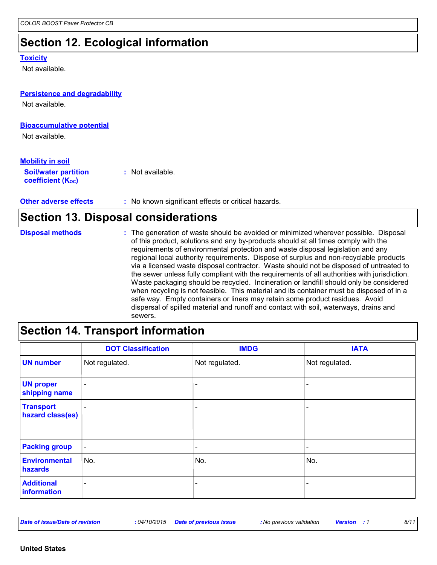# **Section 12. Ecological information**

#### **Toxicity**

Not available.

| <b>Persistence and degradability</b><br>Not available.                             |                    |
|------------------------------------------------------------------------------------|--------------------|
| <b>Bioaccumulative potential</b><br>Not available.                                 |                    |
| <b>Mobility in soil</b><br><b>Soil/water partition</b><br><b>coefficient (Koc)</b> | $:$ Not available. |

**Other adverse effects** : No known significant effects or critical hazards.

# **Section 13. Disposal considerations**

| <b>Disposal methods</b> | : The generation of waste should be avoided or minimized wherever possible. Disposal<br>of this product, solutions and any by-products should at all times comply with the<br>requirements of environmental protection and waste disposal legislation and any<br>regional local authority requirements. Dispose of surplus and non-recyclable products<br>via a licensed waste disposal contractor. Waste should not be disposed of untreated to<br>the sewer unless fully compliant with the requirements of all authorities with jurisdiction.<br>Waste packaging should be recycled. Incineration or landfill should only be considered<br>when recycling is not feasible. This material and its container must be disposed of in a<br>safe way. Empty containers or liners may retain some product residues. Avoid<br>dispersal of spilled material and runoff and contact with soil, waterways, drains and |
|-------------------------|-----------------------------------------------------------------------------------------------------------------------------------------------------------------------------------------------------------------------------------------------------------------------------------------------------------------------------------------------------------------------------------------------------------------------------------------------------------------------------------------------------------------------------------------------------------------------------------------------------------------------------------------------------------------------------------------------------------------------------------------------------------------------------------------------------------------------------------------------------------------------------------------------------------------|
|                         | sewers.                                                                                                                                                                                                                                                                                                                                                                                                                                                                                                                                                                                                                                                                                                                                                                                                                                                                                                         |

# **Section 14. Transport information**

|                                      | <b>DOT Classification</b> | <b>IMDG</b>              | <b>IATA</b>              |
|--------------------------------------|---------------------------|--------------------------|--------------------------|
| <b>UN number</b>                     | Not regulated.            | Not regulated.           | Not regulated.           |
| <b>UN proper</b><br>shipping name    | $\overline{\phantom{0}}$  |                          |                          |
| <b>Transport</b><br>hazard class(es) |                           |                          |                          |
| <b>Packing group</b>                 | $\blacksquare$            | $\overline{\phantom{a}}$ | $\overline{\phantom{0}}$ |
| <b>Environmental</b><br>hazards      | No.                       | No.                      | No.                      |
| <b>Additional</b><br>information     | $\overline{\phantom{0}}$  |                          |                          |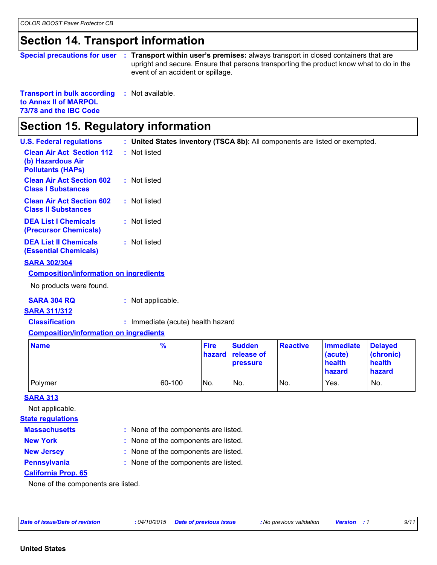### **Section 14. Transport information**

| <b>Special precautions for user</b> | Transport within user's premises: always transport in closed containers that are<br>upright and secure. Ensure that persons transporting the product know what to do in the<br>event of an accident or spillage. |
|-------------------------------------|------------------------------------------------------------------------------------------------------------------------------------------------------------------------------------------------------------------|
| <b>Transport in bulk according</b>  | : Not available.                                                                                                                                                                                                 |

**to Annex II of MARPOL 73/78 and the IBC Code**

# **Section 15. Regulatory information**

| <b>U.S. Federal regulations</b>                                                   | : United States inventory (TSCA 8b): All components are listed or exempted. |
|-----------------------------------------------------------------------------------|-----------------------------------------------------------------------------|
| <b>Clean Air Act Section 112</b><br>(b) Hazardous Air<br><b>Pollutants (HAPS)</b> | : Not listed                                                                |
| <b>Clean Air Act Section 602</b><br><b>Class I Substances</b>                     | : Not listed                                                                |
| <b>Clean Air Act Section 602</b><br><b>Class II Substances</b>                    | : Not listed                                                                |
| <b>DEA List I Chemicals</b><br>(Precursor Chemicals)                              | : Not listed                                                                |
| <b>DEA List II Chemicals</b><br><b>(Essential Chemicals)</b>                      | : Not listed                                                                |
| <b>SARA 302/304</b>                                                               |                                                                             |
| <b>Composition/information on ingredients</b>                                     |                                                                             |
| No products were found.                                                           |                                                                             |
| <b>SARA 304 RQ</b>                                                                | : Not applicable.                                                           |
| <b>SARA 311/312</b>                                                               |                                                                             |
| <b>Classification</b>                                                             | : Immediate (acute) health hazard                                           |

#### **Composition/information on ingredients**

| <b>Name</b> | $\frac{1}{2}$ | <b>Fire</b> | <b>Sudden</b><br>hazard release of<br><b>pressure</b> | <b>Reactive</b> | Immediate<br>(acute)<br>health<br><b>hazard</b> | <b>Delayed</b><br>(chronic)<br>health<br>hazard |
|-------------|---------------|-------------|-------------------------------------------------------|-----------------|-------------------------------------------------|-------------------------------------------------|
| Polymer     | 60-100        | No.         | No.                                                   | No.             | Yes.                                            | No.                                             |

#### **SARA 313**

Not applicable.

#### **State regulations**

| <b>Massachusetts</b> |
|----------------------|
|----------------------|

- 
- 
- None of the components are listed. **: New York :** None of the components are listed.
	-
- **New Jersey :** None of the components are listed.
- 
- 
- **Pennsylvania :** None of the components are listed.

#### **California Prop. 65**

None of the components are listed.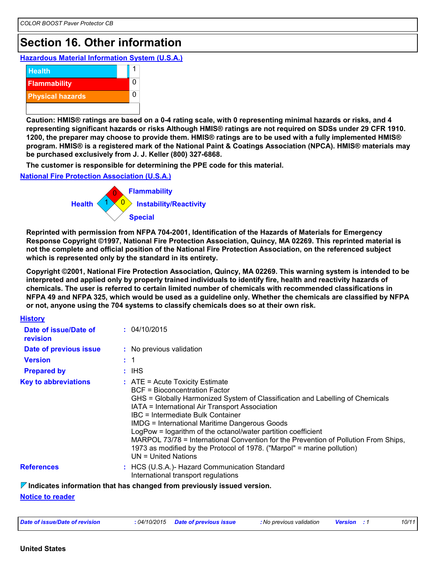### **Section 16. Other information**

**Hazardous Material Information System (U.S.A.)**



**Caution: HMIS® ratings are based on a 0-4 rating scale, with 0 representing minimal hazards or risks, and 4 representing significant hazards or risks Although HMIS® ratings are not required on SDSs under 29 CFR 1910. 1200, the preparer may choose to provide them. HMIS® ratings are to be used with a fully implemented HMIS® program. HMIS® is a registered mark of the National Paint & Coatings Association (NPCA). HMIS® materials may be purchased exclusively from J. J. Keller (800) 327-6868.**

**The customer is responsible for determining the PPE code for this material.**

**National Fire Protection Association (U.S.A.)**



**Reprinted with permission from NFPA 704-2001, Identification of the Hazards of Materials for Emergency Response Copyright ©1997, National Fire Protection Association, Quincy, MA 02269. This reprinted material is not the complete and official position of the National Fire Protection Association, on the referenced subject which is represented only by the standard in its entirety.**

**Copyright ©2001, National Fire Protection Association, Quincy, MA 02269. This warning system is intended to be interpreted and applied only by properly trained individuals to identify fire, health and reactivity hazards of chemicals. The user is referred to certain limited number of chemicals with recommended classifications in NFPA 49 and NFPA 325, which would be used as a guideline only. Whether the chemicals are classified by NFPA or not, anyone using the 704 systems to classify chemicals does so at their own risk.**

| <b>History</b>                    |                                                                                                                                                                                                                                                                                                                                                                                                                                                                                                                                                                                |
|-----------------------------------|--------------------------------------------------------------------------------------------------------------------------------------------------------------------------------------------------------------------------------------------------------------------------------------------------------------------------------------------------------------------------------------------------------------------------------------------------------------------------------------------------------------------------------------------------------------------------------|
| Date of issue/Date of<br>revision | : 04/10/2015                                                                                                                                                                                                                                                                                                                                                                                                                                                                                                                                                                   |
| Date of previous issue            | : No previous validation                                                                                                                                                                                                                                                                                                                                                                                                                                                                                                                                                       |
| <b>Version</b>                    | $\pm$ 1                                                                                                                                                                                                                                                                                                                                                                                                                                                                                                                                                                        |
| <b>Prepared by</b>                | : IHS                                                                                                                                                                                                                                                                                                                                                                                                                                                                                                                                                                          |
| <b>Key to abbreviations</b>       | $\therefore$ ATE = Acute Toxicity Estimate<br><b>BCF</b> = Bioconcentration Factor<br>GHS = Globally Harmonized System of Classification and Labelling of Chemicals<br>IATA = International Air Transport Association<br>IBC = Intermediate Bulk Container<br><b>IMDG = International Maritime Dangerous Goods</b><br>LogPow = logarithm of the octanol/water partition coefficient<br>MARPOL 73/78 = International Convention for the Prevention of Pollution From Ships,<br>1973 as modified by the Protocol of 1978. ("Marpol" = marine pollution)<br>$UN = United Nations$ |
| <b>References</b>                 | : HCS (U.S.A.)- Hazard Communication Standard<br>International transport regulations                                                                                                                                                                                                                                                                                                                                                                                                                                                                                           |
|                                   | $\triangledown$ Indicates information that has changed from previously issued version.                                                                                                                                                                                                                                                                                                                                                                                                                                                                                         |

**Notice to reader**

| Date of issue/Date of revision<br>: 04/10/2015 | <b>Date of previous issue</b> | : No previous validation | <b>Version</b> | 10/11 |
|------------------------------------------------|-------------------------------|--------------------------|----------------|-------|
|------------------------------------------------|-------------------------------|--------------------------|----------------|-------|